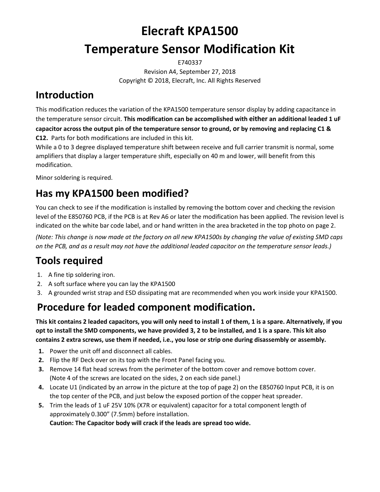# **Elecraft KPA1500**

# **Temperature Sensor Modification Kit**

E740337 Revision A4, September 27, 2018 Copyright © 2018, Elecraft, Inc. All Rights Reserved

#### **Introduction**

This modification reduces the variation of the KPA1500 temperature sensor display by adding capacitance in the temperature sensor circuit. **This modification can be accomplished with either an additional leaded 1 uF capacitor across the output pin of the temperature sensor to ground, or by removing and replacing C1 & C12.** Parts for both modifications are included in this kit.

While a 0 to 3 degree displayed temperature shift between receive and full carrier transmit is normal, some amplifiers that display a larger temperature shift, especially on 40 m and lower, will benefit from this modification.

Minor soldering is required.

## **Has my KPA1500 been modified?**

You can check to see if the modification is installed by removing the bottom cover and checking the revision level of the E850760 PCB, if the PCB is at Rev A6 or later the modification has been applied. The revision level is indicated on the white bar code label, and or hand written in the area bracketed in the top photo on page 2.

*(Note: This change is now made at the factory on all new KPA1500s by changing the value of existing SMD caps on the PCB, and as a result may not have the additional leaded capacitor on the temperature sensor leads.)*

## **Tools required**

- 1. A fine tip soldering iron.
- 2. A soft surface where you can lay the KPA1500
- 3. A grounded wrist strap and ESD dissipating mat are recommended when you work inside your KPA1500.

### **Procedure for leaded component modification.**

**This kit contains 2 leaded capacitors, you will only need to install 1 of them, 1 is a spare. Alternatively, if you opt to install the SMD components, we have provided 3, 2 to be installed, and 1 is a spare. This kit also contains 2 extra screws, use them if needed, i.e., you lose or strip one during disassembly or assembly.** 

- **1.** Power the unit off and disconnect all cables.
- **2.** Flip the RF Deck over on its top with the Front Panel facing you.
- **3.** Remove 14 flat head screws from the perimeter of the bottom cover and remove bottom cover. (Note 4 of the screws are located on the sides, 2 on each side panel.)
- **4.** Locate U1 (indicated by an arrow in the picture at the top of page 2) on the E850760 Input PCB, it is on the top center of the PCB, and just below the exposed portion of the copper heat spreader.
- **5.** Trim the leads of 1 uF 25V 10% (X7R or equivalent) capacitor for a total component length of approximately 0.300" (7.5mm) before installation.

**Caution: The Capacitor body will crack if the leads are spread too wide.**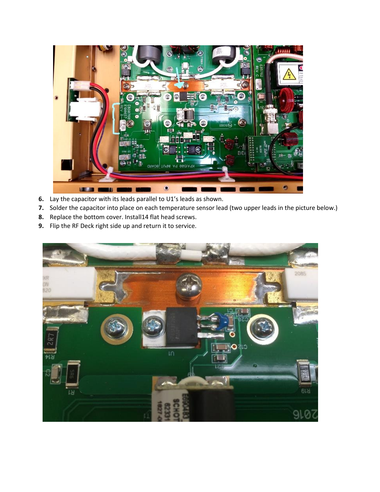

- **6.** Lay the capacitor with its leads parallel to U1's leads as shown.
- **7.** Solder the capacitor into place on each temperature sensor lead (two upper leads in the picture below.)
- **8.** Replace the bottom cover. Install14 flat head screws.
- **9.** Flip the RF Deck right side up and return it to service.